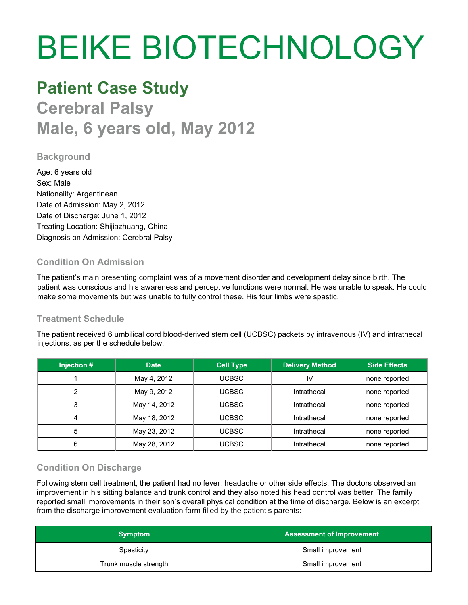# BEIKE BIOTECHNOLOGY

# **Patient Case Study**

**Cerebral Palsy Male, 6 years old, May 2012**

## **Background**

Age: 6 years old Sex: Male Nationality: Argentinean Date of Admission: May 2, 2012 Date of Discharge: June 1, 2012 Treating Location: Shijiazhuang, China Diagnosis on Admission: Cerebral Palsy

#### **Condition On Admission**

The patient's main presenting complaint was of a movement disorder and development delay since birth. The patient was conscious and his awareness and perceptive functions were normal. He was unable to speak. He could make some movements but was unable to fully control these. His four limbs were spastic.

#### **Treatment Schedule**

The patient received 6 umbilical cord blood-derived stem cell (UCBSC) packets by intravenous (IV) and intrathecal injections, as per the schedule below:

| Injection # | <b>Date</b>  | <b>Cell Type</b> | <b>Delivery Method</b> | <b>Side Effects</b> |
|-------------|--------------|------------------|------------------------|---------------------|
|             | May 4, 2012  | UCBSC-           | IV                     | none reported       |
| ⌒           | May 9, 2012  | UCBSC.           | Intrathecal            | none reported       |
|             | May 14, 2012 | UCBSC-           | Intrathecal            | none reported       |
|             | May 18, 2012 | UCBSC-           | Intrathecal            | none reported       |
| 5           | May 23, 2012 | UCBSC            | Intrathecal            | none reported       |
| 6           | May 28, 2012 | UCBSC.           | Intrathecal            | none reported       |

## **Condition On Discharge**

Following stem cell treatment, the patient had no fever, headache or other side effects. The doctors observed an improvement in his sitting balance and trunk control and they also noted his head control was better. The family reported small improvements in their son's overall physical condition at the time of discharge. Below is an excerpt from the discharge improvement evaluation form filled by the patient's parents:

| <b>Symptom</b>        | <b>Assessment of Improvement</b> |
|-----------------------|----------------------------------|
| Spasticity            | Small improvement                |
| Trunk muscle strength | Small improvement                |